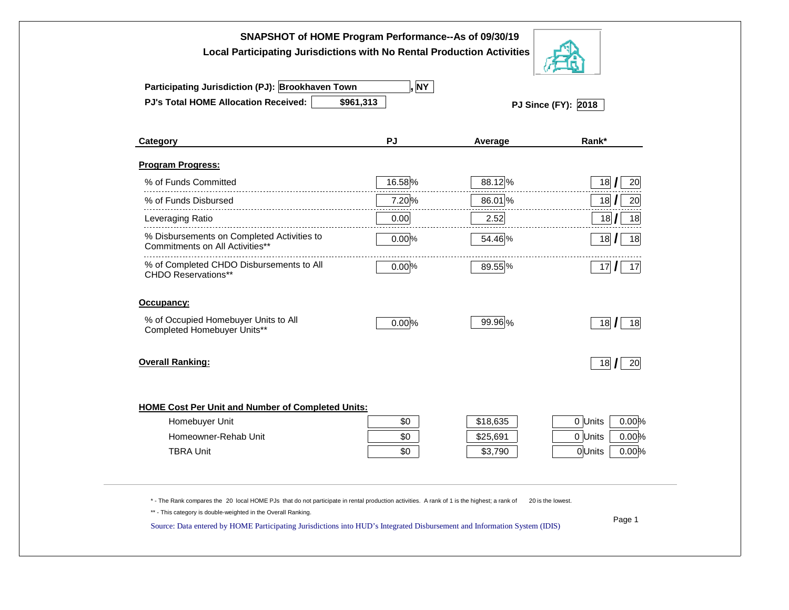| SNAPSHOT of HOME Program Performance--As of 09/30/19<br><b>Local Participating Jurisdictions with No Rental Production Activities</b>                                                      |           |          |                   |  |  |  |  |  |
|--------------------------------------------------------------------------------------------------------------------------------------------------------------------------------------------|-----------|----------|-------------------|--|--|--|--|--|
| , NY<br>Participating Jurisdiction (PJ): Brookhaven Town                                                                                                                                   |           |          |                   |  |  |  |  |  |
| <b>PJ's Total HOME Allocation Received:</b>                                                                                                                                                | \$961,313 |          |                   |  |  |  |  |  |
| Category                                                                                                                                                                                   | PJ        | Average  | Rank*             |  |  |  |  |  |
| Program Progress:                                                                                                                                                                          |           |          |                   |  |  |  |  |  |
| % of Funds Committed                                                                                                                                                                       | 16.58%    | 88.12%   | 18<br>20          |  |  |  |  |  |
| % of Funds Disbursed                                                                                                                                                                       | 7.20%     | 86.01%   | 18<br>20          |  |  |  |  |  |
| Leveraging Ratio                                                                                                                                                                           | 0.00      | 2.52     | 18<br>18          |  |  |  |  |  |
| % Disbursements on Completed Activities to<br>Commitments on All Activities**                                                                                                              | 0.00%     | 54.46 %  | 18<br>18          |  |  |  |  |  |
| % of Completed CHDO Disbursements to All<br><b>CHDO Reservations**</b>                                                                                                                     | $0.00\%$  | 89.55 %  | 17<br>17          |  |  |  |  |  |
| Occupancy:                                                                                                                                                                                 |           |          |                   |  |  |  |  |  |
| % of Occupied Homebuyer Units to All<br>Completed Homebuyer Units**                                                                                                                        | 0.00%     | 99.96 %  | 18<br>18          |  |  |  |  |  |
| <b>Overall Ranking:</b>                                                                                                                                                                    |           |          | 18<br>20          |  |  |  |  |  |
| <b>HOME Cost Per Unit and Number of Completed Units:</b>                                                                                                                                   |           |          |                   |  |  |  |  |  |
| Homebuyer Unit                                                                                                                                                                             | \$0       | \$18,635 | 0.00%<br>0 Units  |  |  |  |  |  |
| Homeowner-Rehab Unit                                                                                                                                                                       | \$0       | \$25,691 | 0 Units<br>0.00%  |  |  |  |  |  |
| <b>TBRA Unit</b>                                                                                                                                                                           | \$0       | \$3,790  | 0Units<br>0.00%   |  |  |  |  |  |
| *- The Rank compares the 20 local HOME PJs that do not participate in rental production activities. A rank of 1 is the highest; a rank of                                                  |           |          | 20 is the lowest. |  |  |  |  |  |
| ** - This category is double-weighted in the Overall Ranking.<br>Source: Data entered by HOME Participating Jurisdictions into HUD's Integrated Disbursement and Information System (IDIS) |           |          | Page 1            |  |  |  |  |  |